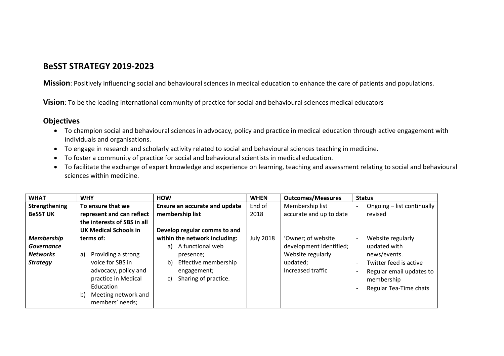## BeSST STRATEGY 2019-2023

Mission: Positively influencing social and behavioural sciences in medical education to enhance the care of patients and populations.

Vision: To be the leading international community of practice for social and behavioural sciences medical educators

## **Objectives**

- To champion social and behavioural sciences in advocacy, policy and practice in medical education through active engagement with individuals and organisations.
- To engage in research and scholarly activity related to social and behavioural sciences teaching in medicine.
- To foster a community of practice for social and behavioural scientists in medical education.
- To facilitate the exchange of expert knowledge and experience on learning, teaching and assessment relating to social and behavioural sciences within medicine.

| <b>WHAT</b>                                                           | <b>WHY</b>                                                                                                                                                                      | <b>HOW</b>                                                                                                                                      | <b>WHEN</b>      | <b>Outcomes/Measures</b>                                                                            | <b>Status</b>                                                                                                                                                                                 |
|-----------------------------------------------------------------------|---------------------------------------------------------------------------------------------------------------------------------------------------------------------------------|-------------------------------------------------------------------------------------------------------------------------------------------------|------------------|-----------------------------------------------------------------------------------------------------|-----------------------------------------------------------------------------------------------------------------------------------------------------------------------------------------------|
| Strengthening                                                         | To ensure that we                                                                                                                                                               | Ensure an accurate and update                                                                                                                   | End of           | Membership list                                                                                     | Ongoing - list continually                                                                                                                                                                    |
| <b>BeSST UK</b>                                                       | represent and can reflect                                                                                                                                                       | membership list                                                                                                                                 | 2018             | accurate and up to date                                                                             | revised                                                                                                                                                                                       |
|                                                                       | the interests of SBS in all                                                                                                                                                     |                                                                                                                                                 |                  |                                                                                                     |                                                                                                                                                                                               |
|                                                                       | <b>UK Medical Schools in</b>                                                                                                                                                    | Develop regular comms to and                                                                                                                    |                  |                                                                                                     |                                                                                                                                                                                               |
| <b>Membership</b><br>Governance<br><b>Networks</b><br><b>Strategy</b> | terms of:<br>Providing a strong<br>a)<br>voice for SBS in<br>advocacy, policy and<br>practice in Medical<br>Education<br>Meeting network and<br>$\mathsf{b}$<br>members' needs; | within the network including:<br>A functional web<br>a)<br>presence;<br>Effective membership<br>b)<br>engagement;<br>Sharing of practice.<br>C) | <b>July 2018</b> | 'Owner; of website<br>development identified;<br>Website regularly<br>updated;<br>Increased traffic | Website regularly<br>updated with<br>news/events.<br>Twitter feed is active<br>$\blacksquare$<br>Regular email updates to<br>$\overline{\phantom{a}}$<br>membership<br>Regular Tea-Time chats |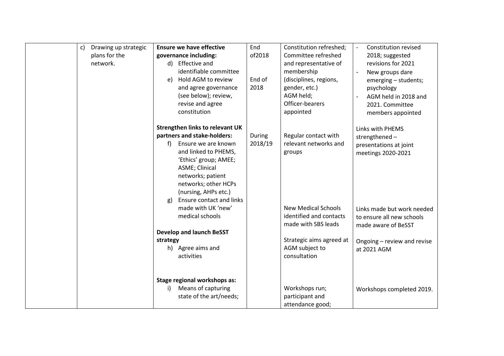| $\mathsf{C}$ | Drawing up strategic |          | <b>Ensure we have effective</b>        | End     | Constitution refreshed;                        | Constitution revised<br>$\blacksquare$     |
|--------------|----------------------|----------|----------------------------------------|---------|------------------------------------------------|--------------------------------------------|
|              | plans for the        |          | governance including:                  | of2018  | Committee refreshed                            | 2018; suggested                            |
|              | network.             |          | d) Effective and                       |         | and representative of                          | revisions for 2021                         |
|              |                      |          | identifiable committee                 |         | membership                                     | New groups dare<br>$\blacksquare$          |
|              |                      | e)       | Hold AGM to review                     | End of  | (disciplines, regions,                         | emerging - students;                       |
|              |                      |          | and agree governance                   | 2018    | gender, etc.)                                  | psychology                                 |
|              |                      |          | (see below); review,                   |         | AGM held;                                      | AGM held in 2018 and<br>$\blacksquare$     |
|              |                      |          | revise and agree                       |         | Officer-bearers                                | 2021. Committee                            |
|              |                      |          | constitution                           |         | appointed                                      | members appointed                          |
|              |                      |          | <b>Strengthen links to relevant UK</b> |         |                                                | Links with PHEMS                           |
|              |                      |          | partners and stake-holders:            | During  | Regular contact with                           | strengthened-                              |
|              |                      | f)       | Ensure we are known                    | 2018/19 | relevant networks and                          | presentations at joint                     |
|              |                      |          | and linked to PHEMS,                   |         | groups                                         | meetings 2020-2021                         |
|              |                      |          | 'Ethics' group; AMEE;                  |         |                                                |                                            |
|              |                      |          | ASME; Clinical                         |         |                                                |                                            |
|              |                      |          | networks; patient                      |         |                                                |                                            |
|              |                      |          | networks; other HCPs                   |         |                                                |                                            |
|              |                      |          | (nursing, AHPs etc.)                   |         |                                                |                                            |
|              |                      | g)       | <b>Ensure contact and links</b>        |         |                                                |                                            |
|              |                      |          | made with UK 'new'                     |         | <b>New Medical Schools</b>                     | Links made but work needed                 |
|              |                      |          | medical schools                        |         | identified and contacts<br>made with SBS leads | to ensure all new schools                  |
|              |                      |          | <b>Develop and launch BeSST</b>        |         |                                                | made aware of BeSST                        |
|              |                      | strategy |                                        |         | Strategic aims agreed at                       |                                            |
|              |                      |          | h) Agree aims and                      |         | AGM subject to                                 | Ongoing - review and revise<br>at 2021 AGM |
|              |                      |          | activities                             |         | consultation                                   |                                            |
|              |                      |          |                                        |         |                                                |                                            |
|              |                      |          |                                        |         |                                                |                                            |
|              |                      |          | Stage regional workshops as:           |         |                                                |                                            |
|              |                      | i)       | Means of capturing                     |         | Workshops run;                                 | Workshops completed 2019.                  |
|              |                      |          | state of the art/needs;                |         | participant and                                |                                            |
|              |                      |          |                                        |         | attendance good;                               |                                            |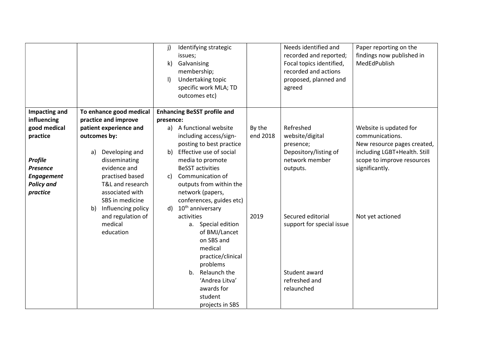|                      |                                       | Identifying strategic<br>j)<br>issues;<br>Galvanising<br>k)<br>membership;<br>Undertaking topic<br>$\vert$<br>specific work MLA; TD<br>outcomes etc) |          | Needs identified and<br>recorded and reported;<br>Focal topics identified,<br>recorded and actions<br>proposed, planned and<br>agreed | Paper reporting on the<br>findings now published in<br>MedEdPublish |
|----------------------|---------------------------------------|------------------------------------------------------------------------------------------------------------------------------------------------------|----------|---------------------------------------------------------------------------------------------------------------------------------------|---------------------------------------------------------------------|
| <b>Impacting and</b> | To enhance good medical               | <b>Enhancing BeSST profile and</b>                                                                                                                   |          |                                                                                                                                       |                                                                     |
| influencing          | practice and improve                  | presence:                                                                                                                                            |          |                                                                                                                                       |                                                                     |
| good medical         | patient experience and                | a) A functional website                                                                                                                              | By the   | Refreshed                                                                                                                             | Website is updated for                                              |
| practice             | outcomes by:                          | including access/sign-                                                                                                                               | end 2018 | website/digital                                                                                                                       | communications.                                                     |
|                      |                                       | posting to best practice<br>Effective use of social                                                                                                  |          | presence;                                                                                                                             | New resource pages created,<br>including LGBT+Health. Still         |
| <b>Profile</b>       | Developing and<br>a)<br>disseminating | b)<br>media to promote                                                                                                                               |          | Depository/listing of<br>network member                                                                                               | scope to improve resources                                          |
| <b>Presence</b>      | evidence and                          | <b>BeSST</b> activities                                                                                                                              |          | outputs.                                                                                                                              | significantly.                                                      |
| <b>Engagement</b>    | practised based                       | Communication of<br>C)                                                                                                                               |          |                                                                                                                                       |                                                                     |
| <b>Policy and</b>    | T&L and research                      | outputs from within the                                                                                                                              |          |                                                                                                                                       |                                                                     |
| practice             | associated with                       | network (papers,                                                                                                                                     |          |                                                                                                                                       |                                                                     |
|                      | SBS in medicine                       | conferences, guides etc)                                                                                                                             |          |                                                                                                                                       |                                                                     |
|                      | Influencing policy<br>b)              | 10 <sup>th</sup> anniversary<br>d)                                                                                                                   |          |                                                                                                                                       |                                                                     |
|                      | and regulation of                     | activities                                                                                                                                           | 2019     | Secured editorial                                                                                                                     | Not yet actioned                                                    |
|                      | medical                               | a. Special edition                                                                                                                                   |          | support for special issue                                                                                                             |                                                                     |
|                      | education                             | of BMJ/Lancet                                                                                                                                        |          |                                                                                                                                       |                                                                     |
|                      |                                       | on SBS and                                                                                                                                           |          |                                                                                                                                       |                                                                     |
|                      |                                       | medical                                                                                                                                              |          |                                                                                                                                       |                                                                     |
|                      |                                       | practice/clinical                                                                                                                                    |          |                                                                                                                                       |                                                                     |
|                      |                                       | problems<br>Relaunch the<br>b.                                                                                                                       |          | Student award                                                                                                                         |                                                                     |
|                      |                                       | 'Andrea Litva'                                                                                                                                       |          | refreshed and                                                                                                                         |                                                                     |
|                      |                                       | awards for                                                                                                                                           |          | relaunched                                                                                                                            |                                                                     |
|                      |                                       | student                                                                                                                                              |          |                                                                                                                                       |                                                                     |
|                      |                                       | projects in SBS                                                                                                                                      |          |                                                                                                                                       |                                                                     |